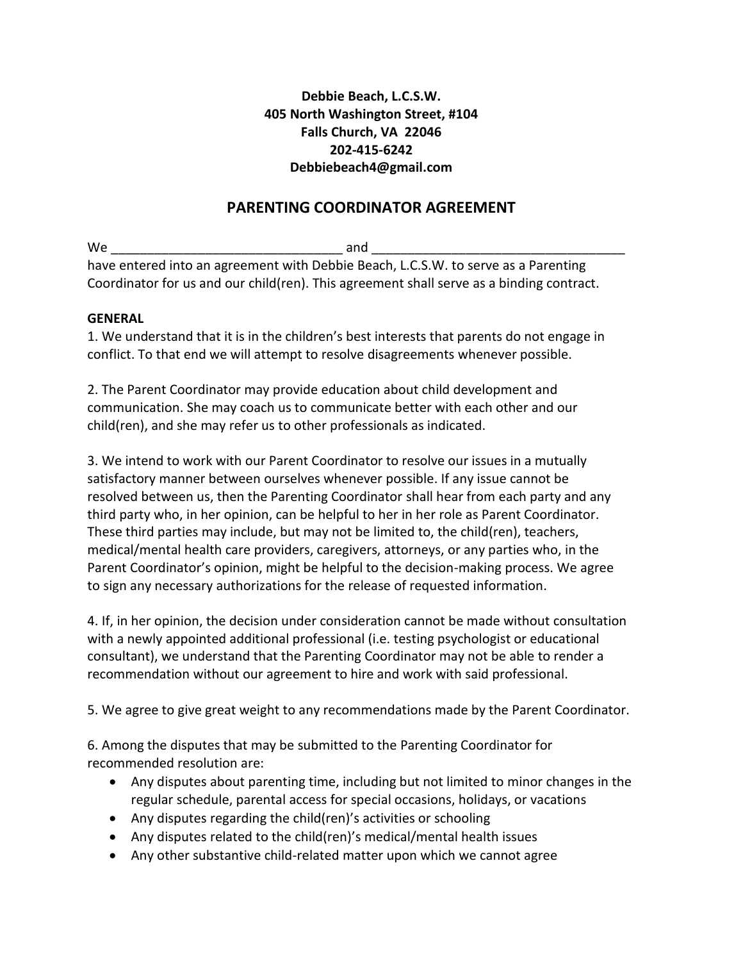## **Debbie Beach, L.C.S.W. 405 North Washington Street, #104 Falls Church, VA 22046 202-415-6242 Debbiebeach4@gmail.com**

# **PARENTING COORDINATOR AGREEMENT**

 $W$ e and  $\overline{a}$ have entered into an agreement with Debbie Beach, L.C.S.W. to serve as a Parenting Coordinator for us and our child(ren). This agreement shall serve as a binding contract.

#### **GENERAL**

1. We understand that it is in the children's best interests that parents do not engage in conflict. To that end we will attempt to resolve disagreements whenever possible.

2. The Parent Coordinator may provide education about child development and communication. She may coach us to communicate better with each other and our child(ren), and she may refer us to other professionals as indicated.

3. We intend to work with our Parent Coordinator to resolve our issues in a mutually satisfactory manner between ourselves whenever possible. If any issue cannot be resolved between us, then the Parenting Coordinator shall hear from each party and any third party who, in her opinion, can be helpful to her in her role as Parent Coordinator. These third parties may include, but may not be limited to, the child(ren), teachers, medical/mental health care providers, caregivers, attorneys, or any parties who, in the Parent Coordinator's opinion, might be helpful to the decision-making process. We agree to sign any necessary authorizations for the release of requested information.

4. If, in her opinion, the decision under consideration cannot be made without consultation with a newly appointed additional professional (i.e. testing psychologist or educational consultant), we understand that the Parenting Coordinator may not be able to render a recommendation without our agreement to hire and work with said professional.

5. We agree to give great weight to any recommendations made by the Parent Coordinator.

6. Among the disputes that may be submitted to the Parenting Coordinator for recommended resolution are:

- Any disputes about parenting time, including but not limited to minor changes in the regular schedule, parental access for special occasions, holidays, or vacations
- Any disputes regarding the child(ren)'s activities or schooling
- Any disputes related to the child(ren)'s medical/mental health issues
- Any other substantive child-related matter upon which we cannot agree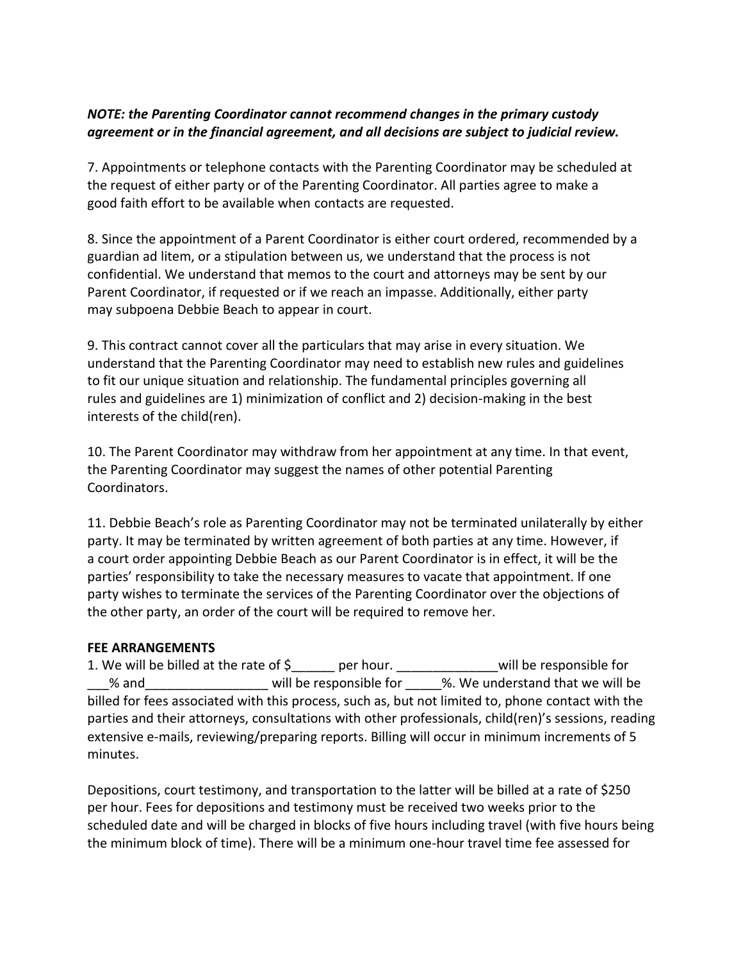### *NOTE: the Parenting Coordinator cannot recommend changes in the primary custody agreement or in the financial agreement, and all decisions are subject to judicial review.*

7. Appointments or telephone contacts with the Parenting Coordinator may be scheduled at the request of either party or of the Parenting Coordinator. All parties agree to make a good faith effort to be available when contacts are requested.

8. Since the appointment of a Parent Coordinator is either court ordered, recommended by a guardian ad litem, or a stipulation between us, we understand that the process is not confidential. We understand that memos to the court and attorneys may be sent by our Parent Coordinator, if requested or if we reach an impasse. Additionally, either party may subpoena Debbie Beach to appear in court.

9. This contract cannot cover all the particulars that may arise in every situation. We understand that the Parenting Coordinator may need to establish new rules and guidelines to fit our unique situation and relationship. The fundamental principles governing all rules and guidelines are 1) minimization of conflict and 2) decision-making in the best interests of the child(ren).

10. The Parent Coordinator may withdraw from her appointment at any time. In that event, the Parenting Coordinator may suggest the names of other potential Parenting Coordinators.

11. Debbie Beach's role as Parenting Coordinator may not be terminated unilaterally by either party. It may be terminated by written agreement of both parties at any time. However, if a court order appointing Debbie Beach as our Parent Coordinator is in effect, it will be the parties' responsibility to take the necessary measures to vacate that appointment. If one party wishes to terminate the services of the Parenting Coordinator over the objections of the other party, an order of the court will be required to remove her.

#### **FEE ARRANGEMENTS**

1. We will be billed at the rate of \$\_\_\_\_\_\_ per hour. \_\_\_\_\_\_\_\_\_\_\_\_\_\_will be responsible for % and  $\blacksquare$  will be responsible for  $\blacksquare$  %. We understand that we will be billed for fees associated with this process, such as, but not limited to, phone contact with the parties and their attorneys, consultations with other professionals, child(ren)'s sessions, reading extensive e-mails, reviewing/preparing reports. Billing will occur in minimum increments of 5 minutes.

Depositions, court testimony, and transportation to the latter will be billed at a rate of \$250 per hour. Fees for depositions and testimony must be received two weeks prior to the scheduled date and will be charged in blocks of five hours including travel (with five hours being the minimum block of time). There will be a minimum one-hour travel time fee assessed for